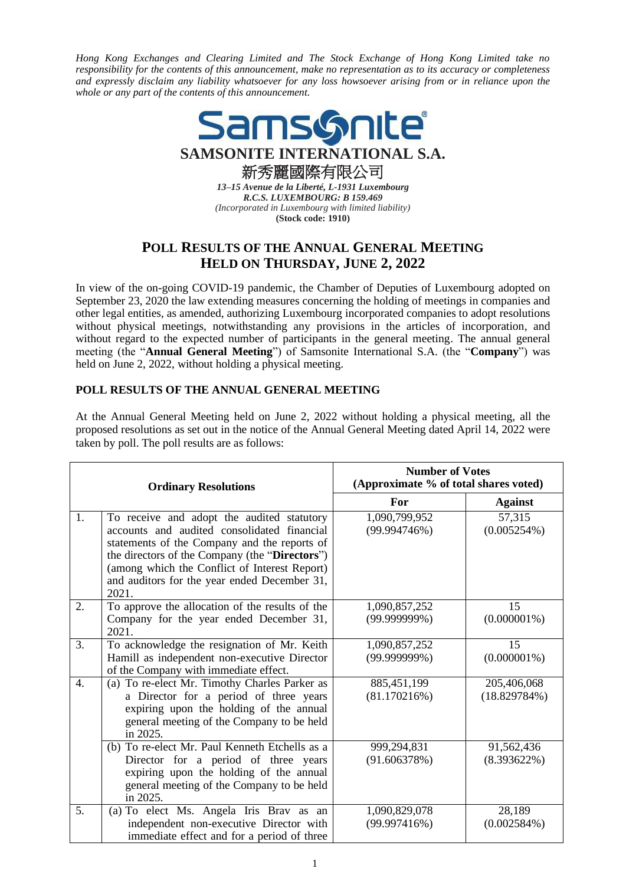*Hong Kong Exchanges and Clearing Limited and The Stock Exchange of Hong Kong Limited take no responsibility for the contents of this announcement, make no representation as to its accuracy or completeness and expressly disclaim any liability whatsoever for any loss howsoever arising from or in reliance upon the whole or any part of the contents of this announcement.*



*13–15 Avenue de la Liberté, L-1931 Luxembourg R.C.S. LUXEMBOURG: B 159.469 (Incorporated in Luxembourg with limited liability)* **(Stock code: 1910)**

## **POLL RESULTS OF THE ANNUAL GENERAL MEETING HELD ON THURSDAY, JUNE 2, 2022**

In view of the on-going COVID-19 pandemic, the Chamber of Deputies of Luxembourg adopted on September 23, 2020 the law extending measures concerning the holding of meetings in companies and other legal entities, as amended, authorizing Luxembourg incorporated companies to adopt resolutions without physical meetings, notwithstanding any provisions in the articles of incorporation, and without regard to the expected number of participants in the general meeting. The annual general meeting (the "**Annual General Meeting**") of Samsonite International S.A. (the "**Company**") was held on June 2, 2022, without holding a physical meeting.

## **POLL RESULTS OF THE ANNUAL GENERAL MEETING**

At the Annual General Meeting held on June 2, 2022 without holding a physical meeting, all the proposed resolutions as set out in the notice of the Annual General Meeting dated April 14, 2022 were taken by poll. The poll results are as follows:

| <b>Ordinary Resolutions</b> |                                                                                                                                                                                                                                                                                                       | <b>Number of Votes</b><br>(Approximate % of total shares voted) |                              |
|-----------------------------|-------------------------------------------------------------------------------------------------------------------------------------------------------------------------------------------------------------------------------------------------------------------------------------------------------|-----------------------------------------------------------------|------------------------------|
|                             |                                                                                                                                                                                                                                                                                                       | For                                                             | <b>Against</b>               |
| 1.                          | To receive and adopt the audited statutory<br>accounts and audited consolidated financial<br>statements of the Company and the reports of<br>the directors of the Company (the "Directors")<br>(among which the Conflict of Interest Report)<br>and auditors for the year ended December 31,<br>2021. | 1,090,799,952<br>(99.994746%)                                   | 57,315<br>(0.005254%)        |
| 2.                          | To approve the allocation of the results of the<br>Company for the year ended December 31,<br>2021.                                                                                                                                                                                                   | 1,090,857,252<br>$(99.999999\%)$                                | 15<br>$(0.000001\%)$         |
| 3.                          | To acknowledge the resignation of Mr. Keith<br>Hamill as independent non-executive Director<br>of the Company with immediate effect.                                                                                                                                                                  | 1,090,857,252<br>$(99.999999\%)$                                | 15<br>$(0.000001\%)$         |
| $\overline{4}$ .            | (a) To re-elect Mr. Timothy Charles Parker as<br>a Director for a period of three years<br>expiring upon the holding of the annual<br>general meeting of the Company to be held<br>in 2025.                                                                                                           | 885,451,199<br>(81.170216%)                                     | 205,406,068<br>(18.829784%)  |
|                             | (b) To re-elect Mr. Paul Kenneth Etchells as a<br>Director for a period of three years<br>expiring upon the holding of the annual<br>general meeting of the Company to be held<br>in 2025.                                                                                                            | 999,294,831<br>(91.606378%)                                     | 91,562,436<br>$(8.393622\%)$ |
| 5.                          | (a) To elect Ms. Angela Iris Brav as an<br>independent non-executive Director with<br>immediate effect and for a period of three                                                                                                                                                                      | 1,090,829,078<br>(99.997416%)                                   | 28,189<br>(0.002584%)        |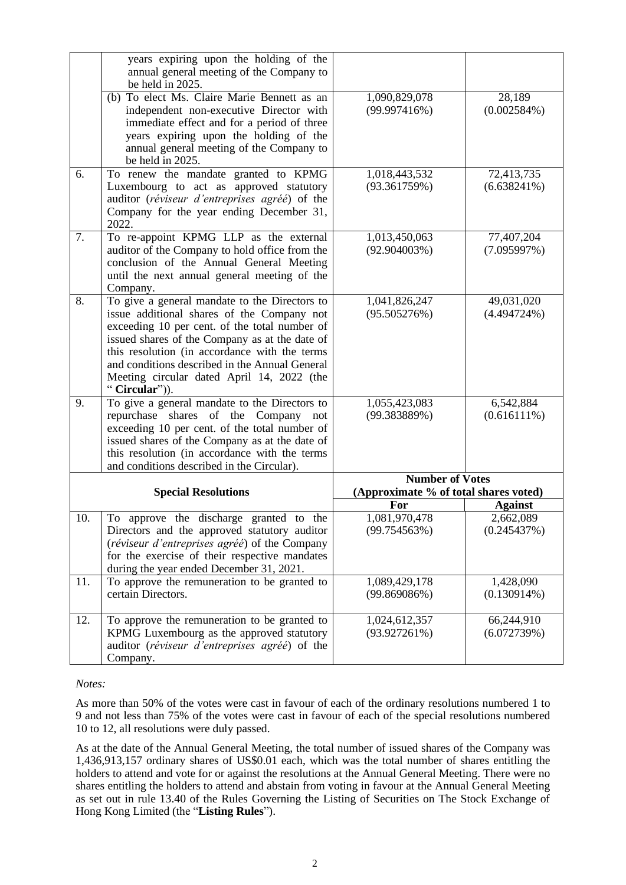|                            | years expiring upon the holding of the<br>annual general meeting of the Company to<br>be held in 2025.                                                                                                                                                                                                                                                           |                                                                 |                              |
|----------------------------|------------------------------------------------------------------------------------------------------------------------------------------------------------------------------------------------------------------------------------------------------------------------------------------------------------------------------------------------------------------|-----------------------------------------------------------------|------------------------------|
|                            | (b) To elect Ms. Claire Marie Bennett as an<br>independent non-executive Director with<br>immediate effect and for a period of three<br>years expiring upon the holding of the<br>annual general meeting of the Company to<br>be held in 2025.                                                                                                                   | 1,090,829,078<br>(99.997416%)                                   | 28,189<br>(0.002584%)        |
| 6.                         | To renew the mandate granted to KPMG<br>Luxembourg to act as approved statutory<br>auditor (réviseur d'entreprises agréé) of the<br>Company for the year ending December 31,<br>2022.                                                                                                                                                                            | 1,018,443,532<br>(93.361759%)                                   | 72,413,735<br>(6.638241%)    |
| 7.                         | To re-appoint KPMG LLP as the external<br>auditor of the Company to hold office from the<br>conclusion of the Annual General Meeting<br>until the next annual general meeting of the<br>Company.                                                                                                                                                                 | 1,013,450,063<br>$(92.904003\%)$                                | 77,407,204<br>(7.095997%)    |
| 8.                         | To give a general mandate to the Directors to<br>issue additional shares of the Company not<br>exceeding 10 per cent. of the total number of<br>issued shares of the Company as at the date of<br>this resolution (in accordance with the terms<br>and conditions described in the Annual General<br>Meeting circular dated April 14, 2022 (the<br>"Circular")). | 1,041,826,247<br>(95.505276%)                                   | 49,031,020<br>$(4.494724\%)$ |
| 9.                         | To give a general mandate to the Directors to<br>shares of the<br>repurchase<br>Company not<br>exceeding 10 per cent. of the total number of<br>issued shares of the Company as at the date of<br>this resolution (in accordance with the terms<br>and conditions described in the Circular).                                                                    | 1,055,423,083<br>(99.383889%)                                   | 6,542,884<br>(0.616111%)     |
| <b>Special Resolutions</b> |                                                                                                                                                                                                                                                                                                                                                                  | <b>Number of Votes</b><br>(Approximate % of total shares voted) |                              |
|                            |                                                                                                                                                                                                                                                                                                                                                                  | For                                                             | <b>Against</b>               |
| 10.                        | To approve the discharge granted to the<br>Directors and the approved statutory auditor<br>(réviseur d'entreprises agréé) of the Company<br>for the exercise of their respective mandates<br>during the year ended December 31, 2021.                                                                                                                            | 1,081,970,478<br>(99.754563%)                                   | 2,662,089<br>(0.245437%)     |
| 11.                        | To approve the remuneration to be granted to<br>certain Directors.                                                                                                                                                                                                                                                                                               | 1,089,429,178<br>(99.869086%)                                   | 1,428,090<br>$(0.130914\%)$  |
| 12.                        | To approve the remuneration to be granted to<br>KPMG Luxembourg as the approved statutory<br>auditor (réviseur d'entreprises agréé) of the<br>Company.                                                                                                                                                                                                           | 1,024,612,357<br>(93.927261%)                                   | 66,244,910<br>(6.072739%)    |

## *Notes:*

As more than 50% of the votes were cast in favour of each of the ordinary resolutions numbered 1 to 9 and not less than 75% of the votes were cast in favour of each of the special resolutions numbered 10 to 12, all resolutions were duly passed.

As at the date of the Annual General Meeting, the total number of issued shares of the Company was 1,436,913,157 ordinary shares of US\$0.01 each, which was the total number of shares entitling the holders to attend and vote for or against the resolutions at the Annual General Meeting. There were no shares entitling the holders to attend and abstain from voting in favour at the Annual General Meeting as set out in rule 13.40 of the Rules Governing the Listing of Securities on The Stock Exchange of Hong Kong Limited (the "**Listing Rules**").